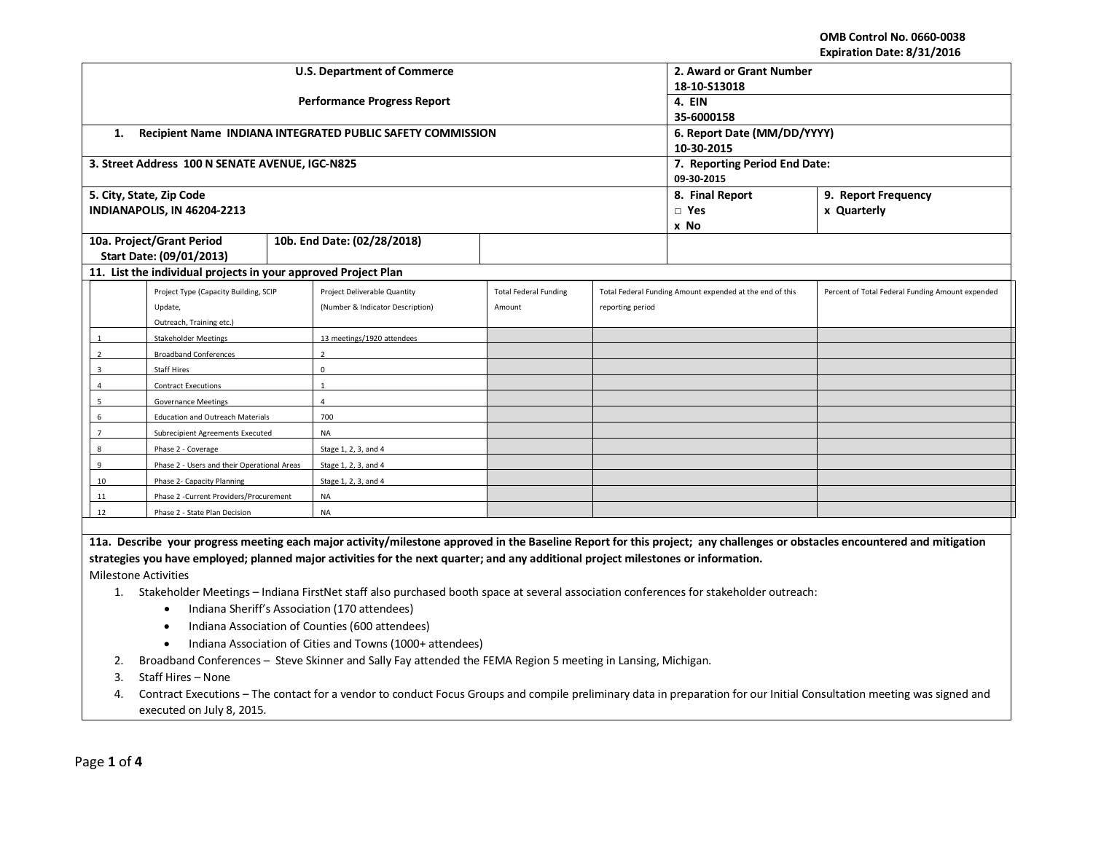**OMB Control No. 0660-0038 Expiration Date: 8/31/2016**

|                                                                                                                                                                            |                                                                |           |                                                            |                              |                  |                                                          | LAPII QUUII DQUC. OJ JIJ LUIU                    |  |
|----------------------------------------------------------------------------------------------------------------------------------------------------------------------------|----------------------------------------------------------------|-----------|------------------------------------------------------------|------------------------------|------------------|----------------------------------------------------------|--------------------------------------------------|--|
|                                                                                                                                                                            |                                                                |           | <b>U.S. Department of Commerce</b>                         | 2. Award or Grant Number     |                  |                                                          |                                                  |  |
|                                                                                                                                                                            |                                                                |           |                                                            | 18-10-S13018                 |                  |                                                          |                                                  |  |
|                                                                                                                                                                            |                                                                |           | <b>Performance Progress Report</b>                         |                              |                  | 4. EIN                                                   |                                                  |  |
|                                                                                                                                                                            |                                                                |           |                                                            |                              |                  | 35-6000158                                               |                                                  |  |
| 1.                                                                                                                                                                         |                                                                |           | Recipient Name INDIANA INTEGRATED PUBLIC SAFETY COMMISSION |                              |                  | 6. Report Date (MM/DD/YYYY)                              |                                                  |  |
|                                                                                                                                                                            |                                                                |           |                                                            |                              |                  | 10-30-2015                                               |                                                  |  |
|                                                                                                                                                                            | 3. Street Address 100 N SENATE AVENUE, IGC-N825                |           |                                                            |                              |                  | 7. Reporting Period End Date:                            |                                                  |  |
|                                                                                                                                                                            |                                                                |           |                                                            |                              |                  | 09-30-2015                                               |                                                  |  |
|                                                                                                                                                                            | 5. City, State, Zip Code                                       |           |                                                            |                              |                  | 8. Final Report<br>9. Report Frequency                   |                                                  |  |
|                                                                                                                                                                            | INDIANAPOLIS, IN 46204-2213                                    |           |                                                            |                              |                  | $\Box$ Yes                                               | x Quarterly                                      |  |
|                                                                                                                                                                            |                                                                |           |                                                            |                              |                  | x No                                                     |                                                  |  |
|                                                                                                                                                                            | 10a. Project/Grant Period                                      |           | 10b. End Date: (02/28/2018)                                |                              |                  |                                                          |                                                  |  |
|                                                                                                                                                                            | Start Date: (09/01/2013)                                       |           |                                                            |                              |                  |                                                          |                                                  |  |
|                                                                                                                                                                            | 11. List the individual projects in your approved Project Plan |           |                                                            |                              |                  |                                                          |                                                  |  |
|                                                                                                                                                                            | Project Type (Capacity Building, SCIP                          |           | Project Deliverable Quantity                               | <b>Total Federal Funding</b> |                  | Total Federal Funding Amount expended at the end of this | Percent of Total Federal Funding Amount expended |  |
|                                                                                                                                                                            | Update,                                                        |           | (Number & Indicator Description)                           | Amount                       | reporting period |                                                          |                                                  |  |
|                                                                                                                                                                            | Outreach, Training etc.)                                       |           |                                                            |                              |                  |                                                          |                                                  |  |
| 1                                                                                                                                                                          | <b>Stakeholder Meetings</b>                                    |           | 13 meetings/1920 attendees                                 |                              |                  |                                                          |                                                  |  |
| $\overline{2}$                                                                                                                                                             | <b>Broadband Conferences</b>                                   |           | $\overline{2}$                                             |                              |                  |                                                          |                                                  |  |
| $\overline{3}$                                                                                                                                                             | Staff Hires                                                    |           | $\Omega$                                                   |                              |                  |                                                          |                                                  |  |
| 4                                                                                                                                                                          | <b>Contract Executions</b>                                     |           | $\mathbf{1}$                                               |                              |                  |                                                          |                                                  |  |
| 5                                                                                                                                                                          | <b>Governance Meetings</b>                                     |           | $\Delta$                                                   |                              |                  |                                                          |                                                  |  |
| 6<br><b>Education and Outreach Materials</b>                                                                                                                               |                                                                | 700       |                                                            |                              |                  |                                                          |                                                  |  |
| $\overline{7}$                                                                                                                                                             | Subrecipient Agreements Executed                               |           | <b>NA</b>                                                  |                              |                  |                                                          |                                                  |  |
| 8                                                                                                                                                                          | Phase 2 - Coverage                                             |           | Stage 1, 2, 3, and 4                                       |                              |                  |                                                          |                                                  |  |
| 9                                                                                                                                                                          | Phase 2 - Users and their Operational Areas                    |           | Stage 1, 2, 3, and 4                                       |                              |                  |                                                          |                                                  |  |
| 10                                                                                                                                                                         | Phase 2- Capacity Planning                                     |           | Stage 1, 2, 3, and 4                                       |                              |                  |                                                          |                                                  |  |
| Phase 2 - Current Providers/Procurement<br>11                                                                                                                              |                                                                | NA        |                                                            |                              |                  |                                                          |                                                  |  |
| 12<br>Phase 2 - State Plan Decision                                                                                                                                        |                                                                | <b>NA</b> |                                                            |                              |                  |                                                          |                                                  |  |
|                                                                                                                                                                            |                                                                |           |                                                            |                              |                  |                                                          |                                                  |  |
| 11a. Describe your progress meeting each major activity/milestone approved in the Baseline Report for this project; any challenges or obstacles encountered and mitigation |                                                                |           |                                                            |                              |                  |                                                          |                                                  |  |
| strategies you have employed; planned major activities for the next quarter; and any additional project milestones or information.                                         |                                                                |           |                                                            |                              |                  |                                                          |                                                  |  |
| <b>Milestone Activities</b>                                                                                                                                                |                                                                |           |                                                            |                              |                  |                                                          |                                                  |  |
| 1. Stakeholder Meetings - Indiana FirstNet staff also purchased booth space at several association conferences for stakeholder outreach:                                   |                                                                |           |                                                            |                              |                  |                                                          |                                                  |  |
| $\mathbf{r}$ is a contract of the contract of $\mathbf{r}$                                                                                                                 |                                                                |           |                                                            |                              |                  |                                                          |                                                  |  |

- Indiana Sheriff's Association (170 attendees)
- Indiana Association of Counties (600 attendees)
- Indiana Association of Cities and Towns (1000+ attendees)
- 2. Broadband Conferences Steve Skinner and Sally Fay attended the FEMA Region 5 meeting in Lansing, Michigan.
- 3. Staff Hires None
- 4. Contract Executions The contact for a vendor to conduct Focus Groups and compile preliminary data in preparation for our Initial Consultation meeting was signed and executed on July 8, 2015.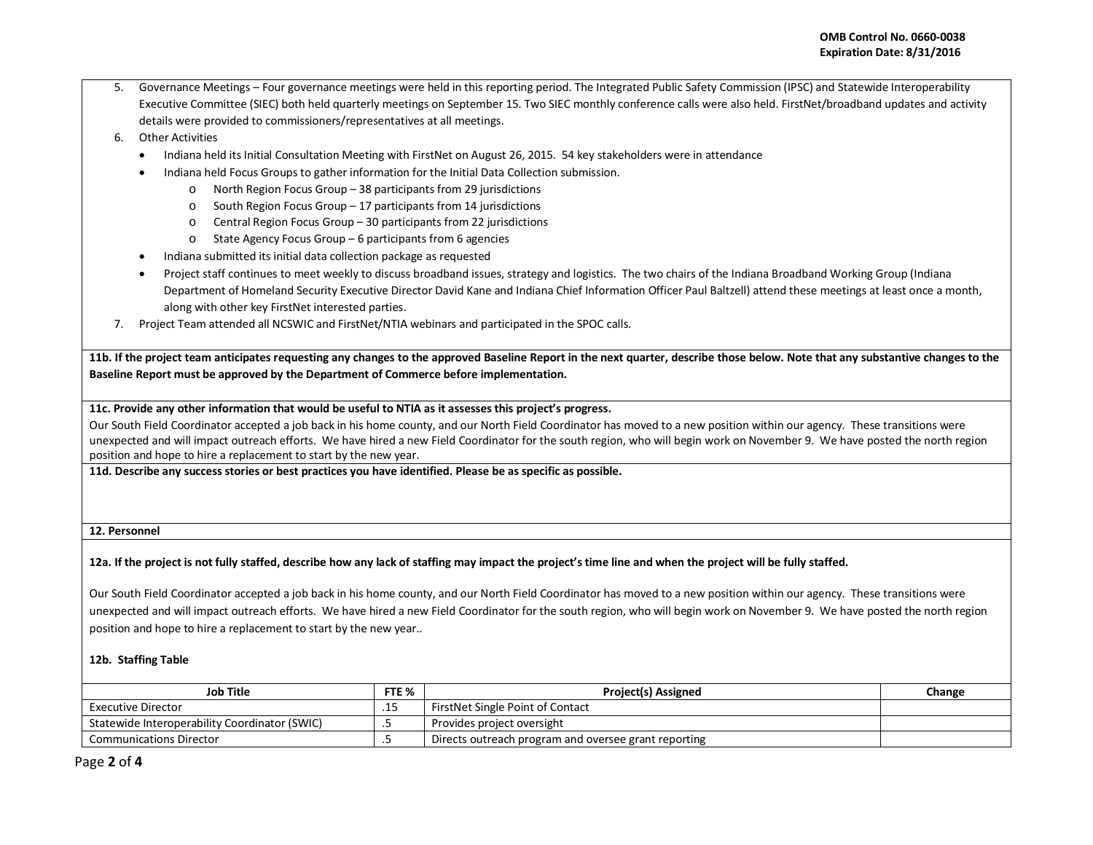- 5. Governance Meetings Four governance meetings were held in this reporting period. The Integrated Public Safety Commission (IPSC) and Statewide Interoperability Executive Committee (SIEC) both held quarterly meetings on September 15. Two SIEC monthly conference calls were also held. FirstNet/broadband updates and activity details were provided to commissioners/representatives at all meetings.
- 6. Other Activities
	- Indiana held its Initial Consultation Meeting with FirstNet on August 26, 2015. 54 key stakeholders were in attendance
	- Indiana held Focus Groups to gather information for the Initial Data Collection submission.
		- o North Region Focus Group 38 participants from 29 jurisdictions
		- o South Region Focus Group 17 participants from 14 jurisdictions
		- o Central Region Focus Group 30 participants from 22 jurisdictions
		- o State Agency Focus Group 6 participants from 6 agencies
	- Indiana submitted its initial data collection package as requested
	- Project staff continues to meet weekly to discuss broadband issues, strategy and logistics. The two chairs of the Indiana Broadband Working Group (Indiana Department of Homeland Security Executive Director David Kane and Indiana Chief Information Officer Paul Baltzell) attend these meetings at least once a month, along with other key FirstNet interested parties.
- 7. Project Team attended all NCSWIC and FirstNet/NTIA webinars and participated in the SPOC calls.

**11b. If the project team anticipates requesting any changes to the approved Baseline Report in the next quarter, describe those below. Note that any substantive changes to the Baseline Report must be approved by the Department of Commerce before implementation.** 

## **11c. Provide any other information that would be useful to NTIA as it assesses this project's progress.**

Our South Field Coordinator accepted a job back in his home county, and our North Field Coordinator has moved to a new position within our agency. These transitions were unexpected and will impact outreach efforts. We have hired a new Field Coordinator for the south region, who will begin work on November 9. We have posted the north region position and hope to hire a replacement to start by the new year.

**11d. Describe any success stories or best practices you have identified. Please be as specific as possible.**

**12. Personnel** 

## **12a. If the project is not fully staffed, describe how any lack of staffing may impact the project's time line and when the project will be fully staffed.**

Our South Field Coordinator accepted a job back in his home county, and our North Field Coordinator has moved to a new position within our agency. These transitions were unexpected and will impact outreach efforts. We have hired a new Field Coordinator for the south region, who will begin work on November 9. We have posted the north region position and hope to hire a replacement to start by the new year..

## **12b. Staffing Table**

| Job Title                                     |         | <b>Project(s) Assigned</b>                           | Change |
|-----------------------------------------------|---------|------------------------------------------------------|--------|
| Executive Director                            | ن عام و | FirstNet Single Point of Contact                     |        |
| Statewide Interoperability Coordinator (SWIC) |         | Provides project oversight                           |        |
| <b>Communications Director</b>                |         | Directs outreach program and oversee grant reporting |        |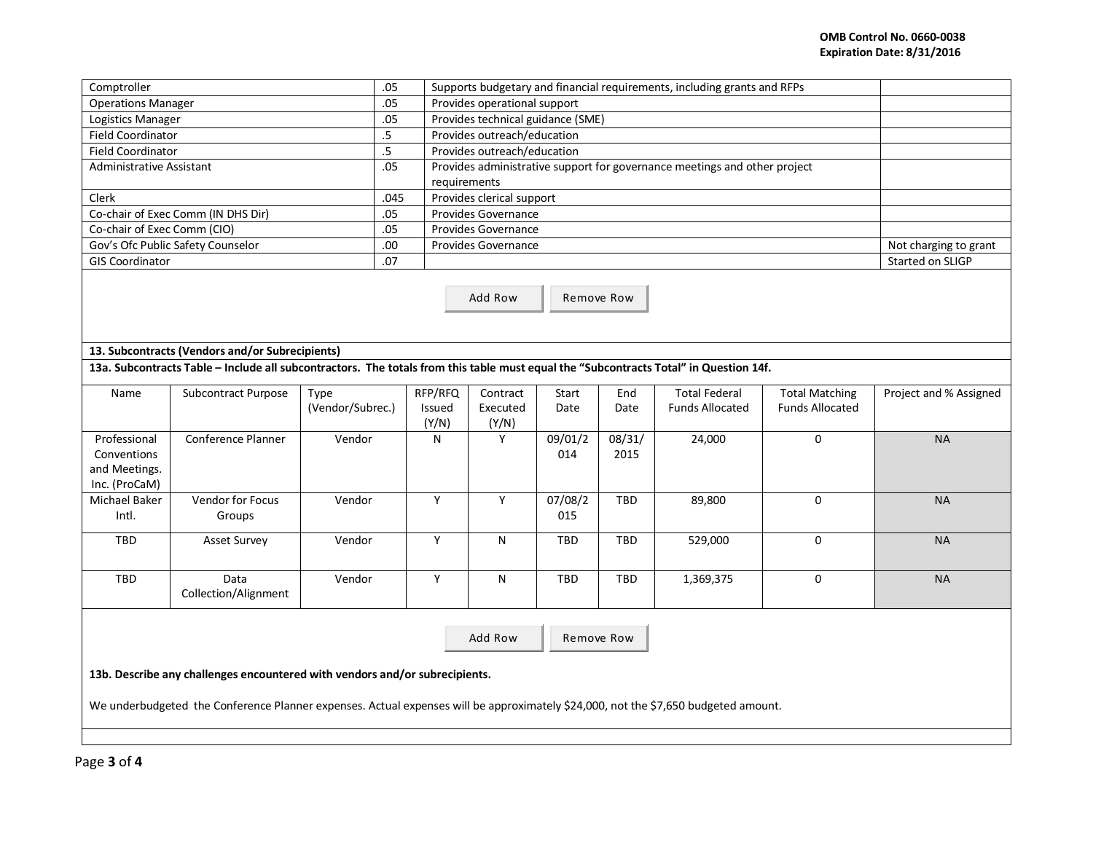| Comptroller                                                                 |                                                                                                                                       |                  | .05    |         | Supports budgetary and financial requirements, including grants and RFPs                  |                       |            |                        |                        |                        |  |  |
|-----------------------------------------------------------------------------|---------------------------------------------------------------------------------------------------------------------------------------|------------------|--------|---------|-------------------------------------------------------------------------------------------|-----------------------|------------|------------------------|------------------------|------------------------|--|--|
| <b>Operations Manager</b>                                                   |                                                                                                                                       |                  | .05    |         | Provides operational support                                                              |                       |            |                        |                        |                        |  |  |
| Logistics Manager                                                           |                                                                                                                                       |                  | .05    |         | Provides technical guidance (SME)                                                         |                       |            |                        |                        |                        |  |  |
| <b>Field Coordinator</b>                                                    |                                                                                                                                       |                  | $.5\,$ |         | Provides outreach/education                                                               |                       |            |                        |                        |                        |  |  |
| <b>Field Coordinator</b>                                                    |                                                                                                                                       |                  | .5     |         | Provides outreach/education                                                               |                       |            |                        |                        |                        |  |  |
| <b>Administrative Assistant</b>                                             |                                                                                                                                       |                  | .05    |         |                                                                                           |                       |            |                        |                        |                        |  |  |
|                                                                             |                                                                                                                                       |                  |        |         | Provides administrative support for governance meetings and other project<br>requirements |                       |            |                        |                        |                        |  |  |
| Clerk                                                                       |                                                                                                                                       |                  | .045   |         | Provides clerical support                                                                 |                       |            |                        |                        |                        |  |  |
|                                                                             | Co-chair of Exec Comm (IN DHS Dir)                                                                                                    |                  | .05    |         | Provides Governance                                                                       |                       |            |                        |                        |                        |  |  |
| Co-chair of Exec Comm (CIO)                                                 |                                                                                                                                       |                  | .05    |         | Provides Governance                                                                       |                       |            |                        |                        |                        |  |  |
|                                                                             | Gov's Ofc Public Safety Counselor                                                                                                     |                  | .00    |         | Provides Governance                                                                       | Not charging to grant |            |                        |                        |                        |  |  |
| <b>GIS Coordinator</b>                                                      |                                                                                                                                       |                  | .07    |         |                                                                                           |                       |            |                        |                        | Started on SLIGP       |  |  |
|                                                                             | Add Row<br>Remove Row                                                                                                                 |                  |        |         |                                                                                           |                       |            |                        |                        |                        |  |  |
|                                                                             | 13. Subcontracts (Vendors and/or Subrecipients)                                                                                       |                  |        |         |                                                                                           |                       |            |                        |                        |                        |  |  |
|                                                                             | 13a. Subcontracts Table - Include all subcontractors. The totals from this table must equal the "Subcontracts Total" in Question 14f. |                  |        |         |                                                                                           |                       |            |                        |                        |                        |  |  |
| Name                                                                        | Subcontract Purpose                                                                                                                   | Type             |        | RFP/RFQ | Contract                                                                                  | Start                 | End        | <b>Total Federal</b>   | <b>Total Matching</b>  | Project and % Assigned |  |  |
|                                                                             |                                                                                                                                       | (Vendor/Subrec.) |        | Issued  | Executed                                                                                  | Date                  | Date       | <b>Funds Allocated</b> | <b>Funds Allocated</b> |                        |  |  |
|                                                                             |                                                                                                                                       |                  |        | (Y/N)   | (Y/N)                                                                                     |                       |            |                        |                        |                        |  |  |
| Professional                                                                | Conference Planner                                                                                                                    | Vendor           |        | N       | Y                                                                                         | 09/01/2               | 08/31/     | 24,000                 | 0                      | <b>NA</b>              |  |  |
| Conventions                                                                 |                                                                                                                                       |                  |        |         |                                                                                           | 014                   | 2015       |                        |                        |                        |  |  |
| and Meetings.                                                               |                                                                                                                                       |                  |        |         |                                                                                           |                       |            |                        |                        |                        |  |  |
| Inc. (ProCaM)                                                               |                                                                                                                                       |                  |        |         |                                                                                           |                       |            |                        |                        |                        |  |  |
| Michael Baker                                                               | <b>Vendor for Focus</b>                                                                                                               | Vendor           |        | Υ       | Y                                                                                         | 07/08/2               | <b>TBD</b> | 89,800                 | 0                      | <b>NA</b>              |  |  |
| Intl.                                                                       | Groups                                                                                                                                |                  |        |         |                                                                                           | 015                   |            |                        |                        |                        |  |  |
| <b>TBD</b>                                                                  | <b>Asset Survey</b>                                                                                                                   | Vendor           |        | Y       | N                                                                                         | <b>TBD</b>            | <b>TBD</b> | 529,000                | $\mathbf 0$            | <b>NA</b>              |  |  |
|                                                                             |                                                                                                                                       |                  |        |         |                                                                                           |                       |            |                        |                        |                        |  |  |
|                                                                             |                                                                                                                                       |                  |        |         |                                                                                           |                       |            |                        |                        |                        |  |  |
| TBD                                                                         | Data                                                                                                                                  | Vendor           |        | Υ       | N                                                                                         | TBD                   | TBD        | 1,369,375              | 0                      | <b>NA</b>              |  |  |
|                                                                             | Collection/Alignment                                                                                                                  |                  |        |         |                                                                                           |                       |            |                        |                        |                        |  |  |
|                                                                             |                                                                                                                                       |                  |        |         |                                                                                           |                       |            |                        |                        |                        |  |  |
|                                                                             |                                                                                                                                       |                  |        |         | Add Row                                                                                   | Remove Row            |            |                        |                        |                        |  |  |
|                                                                             |                                                                                                                                       |                  |        |         |                                                                                           |                       |            |                        |                        |                        |  |  |
| 13b. Describe any challenges encountered with vendors and/or subrecipients. |                                                                                                                                       |                  |        |         |                                                                                           |                       |            |                        |                        |                        |  |  |
|                                                                             |                                                                                                                                       |                  |        |         |                                                                                           |                       |            |                        |                        |                        |  |  |
|                                                                             | We underbudgeted the Conference Planner expenses. Actual expenses will be approximately \$24,000, not the \$7,650 budgeted amount.    |                  |        |         |                                                                                           |                       |            |                        |                        |                        |  |  |
|                                                                             |                                                                                                                                       |                  |        |         |                                                                                           |                       |            |                        |                        |                        |  |  |
|                                                                             |                                                                                                                                       |                  |        |         |                                                                                           |                       |            |                        |                        |                        |  |  |